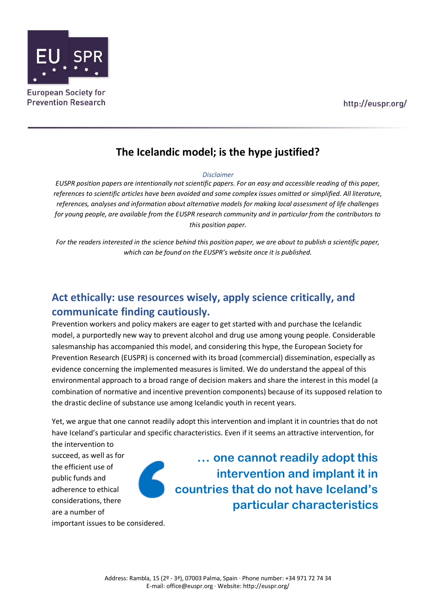

**Prevention Research** 

# **The Icelandic model; is the hype justified?**

#### *Disclaimer*

*EUSPR position papers are intentionally not scientific papers. For an easy and accessible reading of this paper, references to scientific articles have been avoided and some complex issues omitted or simplified. All literature, references, analyses and information about alternative models for making local assessment of life challenges for young people, are available from the EUSPR research community and in particular from the contributors to this position paper.*

*For the readers interested in the science behind this position paper, we are about to publish a scientific paper, which can be found on the EUSPR's website once it is published.*

# **Act ethically: use resources wisely, apply science critically, and communicate finding cautiously.**

Prevention workers and policy makers are eager to get started with and purchase the Icelandic model, a purportedly new way to prevent alcohol and drug use among young people. Considerable salesmanship has accompanied this model, and considering this hype, the European Society for Prevention Research (EUSPR) is concerned with its broad (commercial) dissemination, especially as evidence concerning the implemented measures is limited. We do understand the appeal of this environmental approach to a broad range of decision makers and share the interest in this model (a combination of normative and incentive prevention components) because of its supposed relation to the drastic decline of substance use among Icelandic youth in recent years.

Yet, we argue that one cannot readily adopt this intervention and implant it in countries that do not have Iceland's particular and specific characteristics. Even if it seems an attractive intervention, for

the intervention to succeed, as well as for the efficient use of public funds and adherence to ethical considerations, there are a number of

**… one cannot readily adopt this intervention and implant it in countries that do not have Iceland's particular characteristics**

important issues to be considered.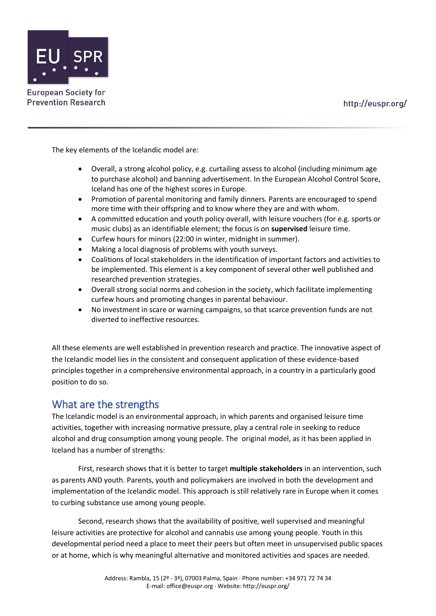http://euspr.org/



The key elements of the Icelandic model are:

- Overall, a strong alcohol policy, e.g. curtailing assess to alcohol (including minimum age to purchase alcohol) and banning advertisement. In the European Alcohol Control Score, Iceland has one of the highest scores in Europe.
- Promotion of parental monitoring and family dinners. Parents are encouraged to spend more time with their offspring and to know where they are and with whom.
- A committed education and youth policy overall, with leisure vouchers (for e.g. sports or music clubs) as an identifiable element; the focus is on **supervised** leisure time.
- Curfew hours for minors (22:00 in winter, midnight in summer).
- Making a local diagnosis of problems with youth surveys.
- Coalitions of local stakeholders in the identification of important factors and activities to be implemented. This element is a key component of several other well published and researched prevention strategies.
- Overall strong social norms and cohesion in the society, which facilitate implementing curfew hours and promoting changes in parental behaviour.
- No investment in scare or warning campaigns, so that scarce prevention funds are not diverted to ineffective resources.

All these elements are well established in prevention research and practice. The innovative aspect of the Icelandic model lies in the consistent and consequent application of these evidence-based principles together in a comprehensive environmental approach, in a country in a particularly good position to do so.

## What are the strengths

The Icelandic model is an environmental approach, in which parents and organised leisure time activities, together with increasing normative pressure, play a central role in seeking to reduce alcohol and drug consumption among young people. The original model, as it has been applied in Iceland has a number of strengths:

First, research shows that it is better to target **multiple stakeholders** in an intervention, such as parents AND youth. Parents, youth and policymakers are involved in both the development and implementation of the Icelandic model. This approach is still relatively rare in Europe when it comes to curbing substance use among young people.

Second, research shows that the availability of positive, well supervised and meaningful leisure activities are protective for alcohol and cannabis use among young people. Youth in this developmental period need a place to meet their peers but often meet in unsupervised public spaces or at home, which is why meaningful alternative and monitored activities and spaces are needed.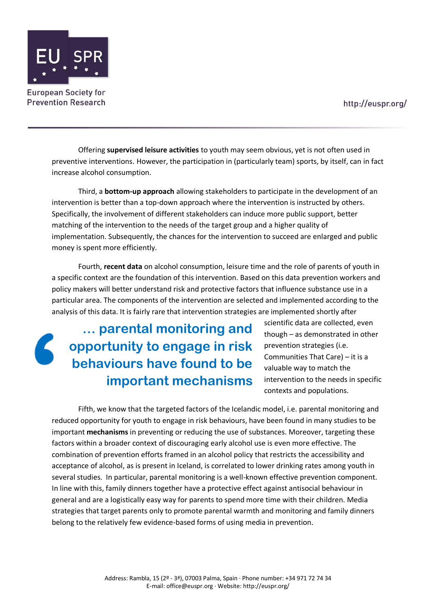http://euspr.org/



**European Society for Prevention Research** 

> Offering **supervised leisure activities** to youth may seem obvious, yet is not often used in preventive interventions. However, the participation in (particularly team) sports, by itself, can in fact increase alcohol consumption.

Third, a **bottom-up approach** allowing stakeholders to participate in the development of an intervention is better than a top-down approach where the intervention is instructed by others. Specifically, the involvement of different stakeholders can induce more public support, better matching of the intervention to the needs of the target group and a higher quality of implementation. Subsequently, the chances for the intervention to succeed are enlarged and public money is spent more efficiently.

Fourth, **recent data** on alcohol consumption, leisure time and the role of parents of youth in a specific context are the foundation of this intervention. Based on this data prevention workers and policy makers will better understand risk and protective factors that influence substance use in a particular area. The components of the intervention are selected and implemented according to the analysis of this data. It is fairly rare that intervention strategies are implemented shortly after

**… parental monitoring and opportunity to engage in risk behaviours have found to be important mechanisms**

scientific data are collected, even though – as demonstrated in other prevention strategies (i.e. Communities That Care) – it is a valuable way to match the intervention to the needs in specific contexts and populations.

Fifth, we know that the targeted factors of the Icelandic model, i.e. parental monitoring and reduced opportunity for youth to engage in risk behaviours, have been found in many studies to be important **mechanisms** in preventing or reducing the use of substances. Moreover, targeting these factors within a broader context of discouraging early alcohol use is even more effective. The combination of prevention efforts framed in an alcohol policy that restricts the accessibility and acceptance of alcohol, as is present in Iceland, is correlated to lower drinking rates among youth in several studies. In particular, parental monitoring is a well-known effective prevention component. In line with this, family dinners together have a protective effect against antisocial behaviour in general and are a logistically easy way for parents to spend more time with their children. Media strategies that target parents only to promote parental warmth and monitoring and family dinners belong to the relatively few evidence-based forms of using media in prevention.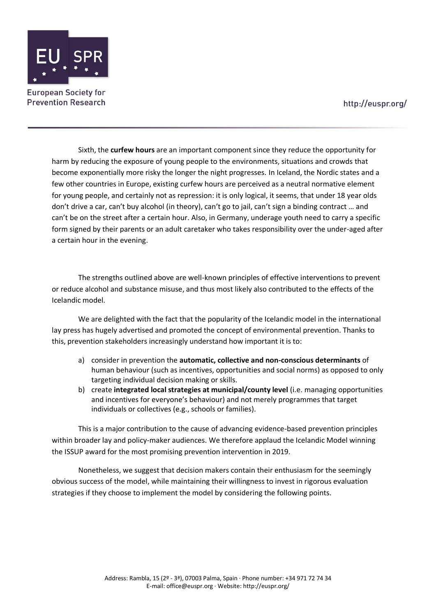

Sixth, the **curfew hours** are an important component since they reduce the opportunity for harm by reducing the exposure of young people to the environments, situations and crowds that become exponentially more risky the longer the night progresses. In Iceland, the Nordic states and a few other countries in Europe, existing curfew hours are perceived as a neutral normative element for young people, and certainly not as repression: it is only logical, it seems, that under 18 year olds don't drive a car, can't buy alcohol (in theory), can't go to jail, can't sign a binding contract … and can't be on the street after a certain hour. Also, in Germany, underage youth need to carry a specific form signed by their parents or an adult caretaker who takes responsibility over the under-aged after a certain hour in the evening.

The strengths outlined above are well-known principles of effective interventions to prevent or reduce alcohol and substance misuse, and thus most likely also contributed to the effects of the Icelandic model.

We are delighted with the fact that the popularity of the Icelandic model in the international lay press has hugely advertised and promoted the concept of environmental prevention. Thanks to this, prevention stakeholders increasingly understand how important it is to:

- a) consider in prevention the **automatic, collective and non-conscious determinants** of human behaviour (such as incentives, opportunities and social norms) as opposed to only targeting individual decision making or skills.
- b) create **integrated local strategies at municipal/county level** (i.e. managing opportunities and incentives for everyone's behaviour) and not merely programmes that target individuals or collectives (e.g., schools or families).

This is a major contribution to the cause of advancing evidence-based prevention principles within broader lay and policy-maker audiences. We therefore applaud the Icelandic Model winning the ISSUP award for the most promising prevention intervention in 2019.

Nonetheless, we suggest that decision makers contain their enthusiasm for the seemingly obvious success of the model, while maintaining their willingness to invest in rigorous evaluation strategies if they choose to implement the model by considering the following points.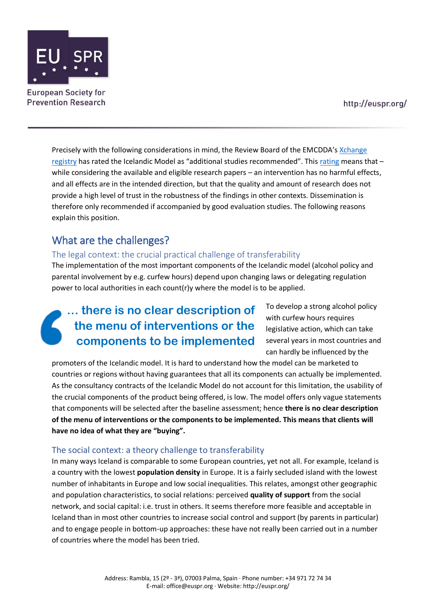

http://euspr.org/

Precisely with the following considerations in mind, the Review Board of the EMCDDA's [Xchange](http://www.emcdda.europa.eu/best-practice/xchange)  [registry](http://www.emcdda.europa.eu/best-practice/xchange) has rated the Icelandic Model as "additional studies recommended". This [rating](http://www.emcdda.europa.eu/best-practice/xchange/about) means that – while considering the available and eligible research papers – an intervention has no harmful effects, and all effects are in the intended direction, but that the quality and amount of research does not provide a high level of trust in the robustness of the findings in other contexts. Dissemination is therefore only recommended if accompanied by good evaluation studies. The following reasons explain this position.

## What are the challenges?

#### The legal context: the crucial practical challenge of transferability

The implementation of the most important components of the Icelandic model (alcohol policy and parental involvement by e.g. curfew hours) depend upon changing laws or delegating regulation power to local authorities in each count(r)y where the model is to be applied.

# **… there is no clear description of the menu of interventions or the components to be implemented**

To develop a strong alcohol policy with curfew hours requires legislative action, which can take several years in most countries and can hardly be influenced by the

promoters of the Icelandic model. It is hard to understand how the model can be marketed to countries or regions without having guarantees that all its components can actually be implemented. As the consultancy contracts of the Icelandic Model do not account for this limitation, the usability of the crucial components of the product being offered, is low. The model offers only vague statements that components will be selected after the baseline assessment; hence **there is no clear description of the menu of interventions or the components to be implemented. This means that clients will have no idea of what they are "buying".** 

#### The social context: a theory challenge to transferability

In many ways Iceland is comparable to some European countries, yet not all. For example, Iceland is a country with the lowest **population density** in Europe. It is a fairly secluded island with the lowest number of inhabitants in Europe and low social inequalities. This relates, amongst other geographic and population characteristics, to social relations: perceived **quality of support** from the social network, and social capital: i.e. trust in others. It seems therefore more feasible and acceptable in Iceland than in most other countries to increase social control and support (by parents in particular) and to engage people in bottom-up approaches: these have not really been carried out in a number of countries where the model has been tried.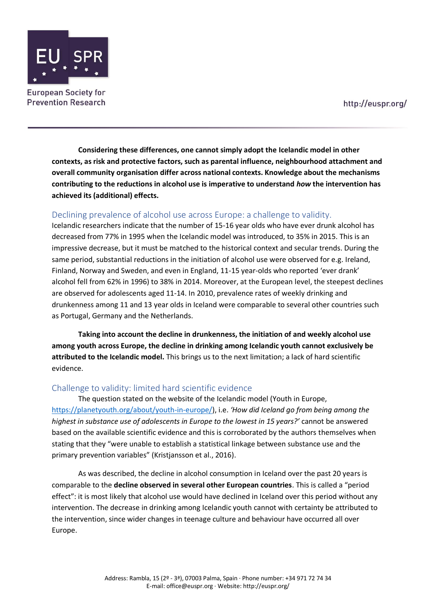

**Considering these differences, one cannot simply adopt the Icelandic model in other contexts, as risk and protective factors, such as parental influence, neighbourhood attachment and overall community organisation differ across national contexts. Knowledge about the mechanisms contributing to the reductions in alcohol use is imperative to understand** *how* **the intervention has achieved its (additional) effects.** 

#### Declining prevalence of alcohol use across Europe: a challenge to validity.

Icelandic researchers indicate that the number of 15-16 year olds who have ever drunk alcohol has decreased from 77% in 1995 when the Icelandic model was introduced, to 35% in 2015. This is an impressive decrease, but it must be matched to the historical context and secular trends. During the same period, substantial reductions in the initiation of alcohol use were observed for e.g. Ireland, Finland, Norway and Sweden, and even in England, 11-15 year-olds who reported 'ever drank' alcohol fell from 62% in 1996) to 38% in 2014. Moreover, at the European level, the steepest declines are observed for adolescents aged 11-14. In 2010, prevalence rates of weekly drinking and drunkenness among 11 and 13 year olds in Iceland were comparable to several other countries such as Portugal, Germany and the Netherlands.

**Taking into account the decline in drunkenness, the initiation of and weekly alcohol use among youth across Europe, the decline in drinking among Icelandic youth cannot exclusively be attributed to the Icelandic model.** This brings us to the next limitation; a lack of hard scientific evidence.

#### Challenge to validity: limited hard scientific evidence

The question stated on the website of the Icelandic model (Youth in Europe, [https://planetyouth.org/about/youth-in-europe/\)](https://planetyouth.org/about/youth-in-europe/), i.e. *'How did Iceland go from being among the highest in substance use of adolescents in Europe to the lowest in 15 years?'* cannot be answered based on the available scientific evidence and this is corroborated by the authors themselves when stating that they "were unable to establish a statistical linkage between substance use and the primary prevention variables" (Kristjansson et al., 2016).

As was described, the decline in alcohol consumption in Iceland over the past 20 years is comparable to the **decline observed in several other European countries**. This is called a "period effect": it is most likely that alcohol use would have declined in Iceland over this period without any intervention. The decrease in drinking among Icelandic youth cannot with certainty be attributed to the intervention, since wider changes in teenage culture and behaviour have occurred all over Europe.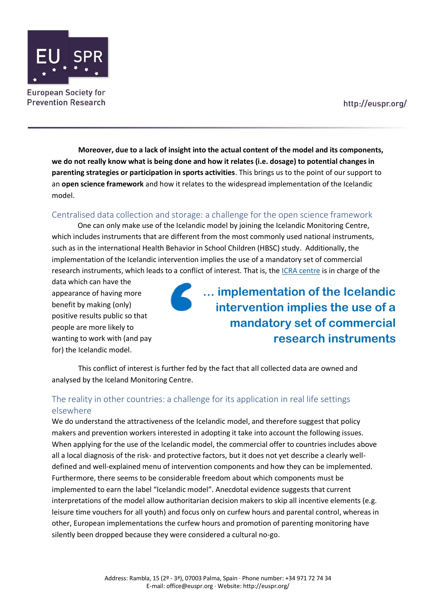

**Moreover, due to a lack of insight into the actual content of the model and its components, we do not really know what is being done and how it relates (i.e. dosage) to potential changes in parenting strategies or participation in sports activities**. This brings us to the point of our support to an **open science framework** and how it relates to the widespread implementation of the Icelandic model.

## Centralised data collection and storage: a challenge for the open science framework

One can only make use of the Icelandic model by joining the Icelandic Monitoring Centre, which includes instruments that are different from the most commonly used national instruments, such as in the international Health Behavior in School Children (HBSC) study. Additionally, the implementation of the Icelandic intervention implies the use of a mandatory set of commercial research instruments, which leads to a conflict of interest. That is, the [ICRA centre](https://planetyouth.org/about/) is in charge of the

data which can have the appearance of having more benefit by making (only) positive results public so that people are more likely to wanting to work with (and pay for) the Icelandic model.

**… implementation of the Icelandic intervention implies the use of a mandatory set of commercial research instruments**

This conflict of interest is further fed by the fact that all collected data are owned and analysed by the Iceland Monitoring Centre.

## The reality in other countries: a challenge for its application in real life settings elsewhere

We do understand the attractiveness of the Icelandic model, and therefore suggest that policy makers and prevention workers interested in adopting it take into account the following issues. When applying for the use of the Icelandic model, the commercial offer to countries includes above all a local diagnosis of the risk- and protective factors, but it does not yet describe a clearly welldefined and well-explained menu of intervention components and how they can be implemented. Furthermore, there seems to be considerable freedom about which components must be implemented to earn the label "Icelandic model". Anecdotal evidence suggests that current interpretations of the model allow authoritarian decision makers to skip all incentive elements (e.g. leisure time vouchers for all youth) and focus only on curfew hours and parental control, whereas in other, European implementations the curfew hours and promotion of parenting monitoring have silently been dropped because they were considered a cultural no-go.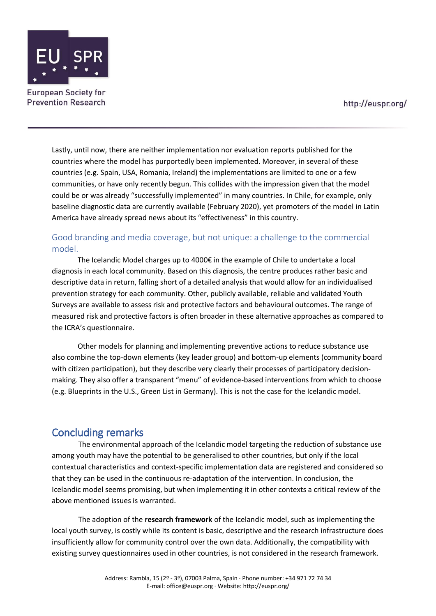

Lastly, until now, there are neither implementation nor evaluation reports published for the countries where the model has purportedly been implemented. Moreover, in several of these countries (e.g. Spain, USA, Romania, Ireland) the implementations are limited to one or a few communities, or have only recently begun. This collides with the impression given that the model could be or was already "successfully implemented" in many countries. In Chile, for example, only baseline diagnostic data are currently available (February 2020), yet promoters of the model in Latin America have already spread news about its "effectiveness" in this country.

## Good branding and media coverage, but not unique: a challenge to the commercial model.

The Icelandic Model charges up to 4000€ in the example of Chile to undertake a local diagnosis in each local community. Based on this diagnosis, the centre produces rather basic and descriptive data in return, falling short of a detailed analysis that would allow for an individualised prevention strategy for each community. Other, publicly available, reliable and validated Youth Surveys are available to assess risk and protective factors and behavioural outcomes. The range of measured risk and protective factors is often broader in these alternative approaches as compared to the ICRA's questionnaire.

Other models for planning and implementing preventive actions to reduce substance use also combine the top-down elements (key leader group) and bottom-up elements (community board with citizen participation), but they describe very clearly their processes of participatory decisionmaking. They also offer a transparent "menu" of evidence-based interventions from which to choose (e.g. Blueprints in the U.S., Green List in Germany). This is not the case for the Icelandic model.

## Concluding remarks

The environmental approach of the Icelandic model targeting the reduction of substance use among youth may have the potential to be generalised to other countries, but only if the local contextual characteristics and context-specific implementation data are registered and considered so that they can be used in the continuous re-adaptation of the intervention. In conclusion, the Icelandic model seems promising, but when implementing it in other contexts a critical review of the above mentioned issues is warranted.

The adoption of the **research framework** of the Icelandic model, such as implementing the local youth survey, is costly while its content is basic, descriptive and the research infrastructure does insufficiently allow for community control over the own data. Additionally, the compatibility with existing survey questionnaires used in other countries, is not considered in the research framework.